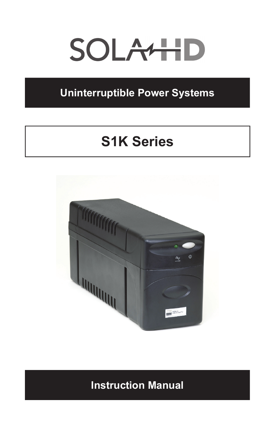# SOLAHID

# **Uninterruptible Power Systems**

# **S1K Series**



# **Instruction Manual**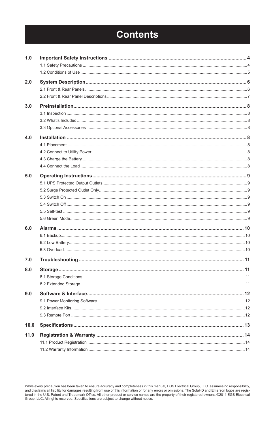# **Contents**

| 1.0  |  |
|------|--|
|      |  |
|      |  |
| 2.0  |  |
|      |  |
|      |  |
| 3.0  |  |
|      |  |
|      |  |
|      |  |
| 4.0  |  |
|      |  |
|      |  |
|      |  |
|      |  |
|      |  |
| 5.0  |  |
|      |  |
|      |  |
|      |  |
|      |  |
|      |  |
|      |  |
| 6.0  |  |
|      |  |
|      |  |
|      |  |
| 7.0  |  |
| 8.0  |  |
|      |  |
|      |  |
| 9.0  |  |
|      |  |
|      |  |
|      |  |
| 10.0 |  |
| 11.0 |  |
|      |  |
|      |  |
|      |  |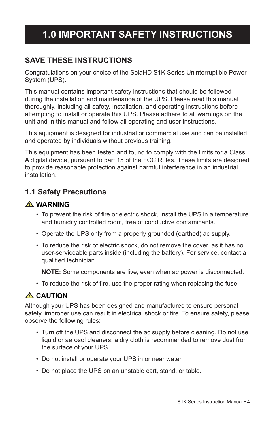# **1.0 IMPORTANT SAFETY INSTRUCTIONS**

## **SAVE THESE INSTRUCTIONS**

Congratulations on your choice of the SolaHD S1K Series Uninterruptible Power System (UPS).

This manual contains important safety instructions that should be followed during the installation and maintenance of the UPS. Please read this manual thoroughly, including all safety, installation, and operating instructions before attempting to install or operate this UPS. Please adhere to all warnings on the unit and in this manual and follow all operating and user instructions.

This equipment is designed for industrial or commercial use and can be installed and operated by individuals without previous training.

This equipment has been tested and found to comply with the limits for a Class A digital device, pursuant to part 15 of the FCC Rules. These limits are designed to provide reasonable protection against harmful interference in an industrial installation.

## **1.1 Safety Precautions**

#### **! WARNING**

- To prevent the risk of fire or electric shock, install the UPS in a temperature and humidity controlled room, free of conductive contaminants.
- Operate the UPS only from a properly grounded (earthed) ac supply.
- To reduce the risk of electric shock, do not remove the cover, as it has no user-serviceable parts inside (including the battery). For service, contact a qualified technician.

 **NOTE:** Some components are live, even when ac power is disconnected.

• To reduce the risk of fire, use the proper rating when replacing the fuse.

## **! CAUTION**

Although your UPS has been designed and manufactured to ensure personal safety, improper use can result in electrical shock or fire. To ensure safety, please observe the following rules:

- Turn off the UPS and disconnect the ac supply before cleaning. Do not use liquid or aerosol cleaners; a dry cloth is recommended to remove dust from the surface of your UPS.
- Do not install or operate your UPS in or near water.
- Do not place the UPS on an unstable cart, stand, or table.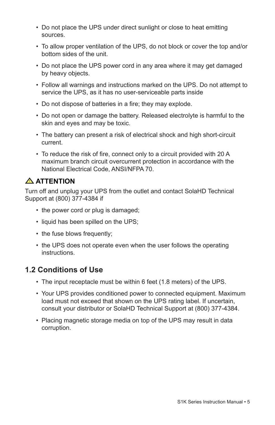- Do not place the UPS under direct sunlight or close to heat emitting sources.
- • To allow proper ventilation of the UPS, do not block or cover the top and/or bottom sides of the unit.
- Do not place the UPS power cord in any area where it may get damaged by heavy objects.
- • Follow all warnings and instructions marked on the UPS. Do not attempt to service the UPS, as it has no user-serviceable parts inside
- Do not dispose of batteries in a fire; they may explode.
- Do not open or damage the battery. Released electrolyte is harmful to the skin and eyes and may be toxic.
- The battery can present a risk of electrical shock and high short-circuit current.
- To reduce the risk of fire, connect only to a circuit provided with 20 A maximum branch circuit overcurrent protection in accordance with the National Electrical Code, ANSI/NFPA 70.

## **! ATTention**

Turn off and unplug your UPS from the outlet and contact SolaHD Technical Support at (800) 377-4384 if

- the power cord or plug is damaged;
- liquid has been spilled on the UPS;
- the fuse blows frequently;
- the UPS does not operate even when the user follows the operating instructions.

## **1.2 Conditions of Use**

- The input receptacle must be within 6 feet (1.8 meters) of the UPS.
- Your UPS provides conditioned power to connected equipment. Maximum load must not exceed that shown on the UPS rating label. If uncertain, consult your distributor or SolaHD Technical Support at (800) 377-4384.
- Placing magnetic storage media on top of the UPS may result in data corruption.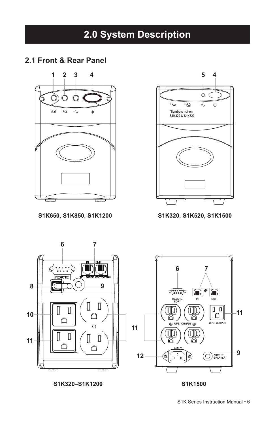#### **2.1 Front & Rear Panel**



**S1K650, S1K850, S1K1200 S1K320, S1K520, S1K1500**





**S1K320–S1K1200 S1K1500**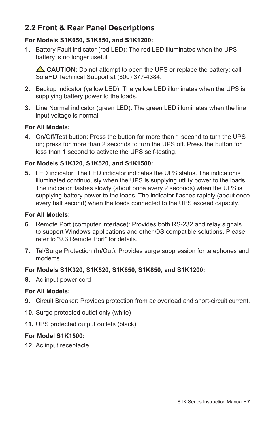# **2.2 Front & Rear Panel Descriptions**

#### **For Models S1K650, S1K850, and S1K1200:**

**1.** Battery Fault indicator (red LED): The red LED illuminates when the UPS battery is no longer useful.

 $\triangle$  **CAUTION:** Do not attempt to open the UPS or replace the battery; call SolaHD Technical Support at (800) 377-4384.

- **2.** Backup indicator (yellow LED): The yellow LED illuminates when the UPS is supplying battery power to the loads.
- **3.** Line Normal indicator (green LED): The green LED illuminates when the line input voltage is normal.

#### **For All Models:**

**4.** On/Off/Test button: Press the button for more than 1 second to turn the UPS on; press for more than 2 seconds to turn the UPS off. Press the button for less than 1 second to activate the UPS self-testing.

#### **For Models S1K320, S1K520, and S1K1500:**

**5.** LED indicator: The LED indicator indicates the UPS status. The indicator is illuminated continuously when the UPS is supplying utility power to the loads. The indicator flashes slowly (about once every 2 seconds) when the UPS is supplying battery power to the loads. The indicator flashes rapidly (about once every half second) when the loads connected to the UPS exceed capacity.

#### **For All Models:**

- **6.** Remote Port (computer interface): Provides both RS-232 and relay signals to support Windows applications and other OS compatible solutions. Please refer to "9.3 Remote Port" for details.
- **7.** Tel/Surge Protection (In/Out): Provides surge suppression for telephones and modems.

#### **For Models S1K320, S1K520, S1K650, S1K850, and S1K1200:**

**8.**  Ac input power cord

#### **For All Models:**

- **9.** Circuit Breaker: Provides protection from ac overload and short-circuit current.
- **10.** Surge protected outlet only (white)
- 11. UPS protected output outlets (black)

#### **For Model S1K1500:**

12. Ac input receptacle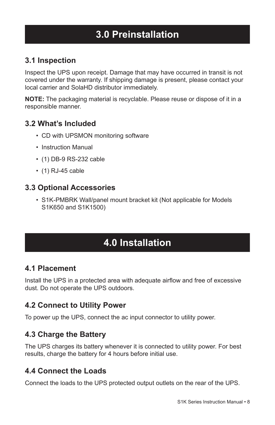# **3.0 Preinstallation**

## **3.1 Inspection**

Inspect the UPS upon receipt. Damage that may have occurred in transit is not covered under the warranty. If shipping damage is present, please contact your local carrier and SolaHD distributor immediately.

**NOTE:** The packaging material is recyclable. Please reuse or dispose of it in a responsible manner.

#### **3.2 What's Included**

- CD with UPSMON monitoring software
- • Instruction Manual
- (1) DB-9 RS-232 cable
- $\cdot$  (1) RJ-45 cable

#### **3.3 Optional Accessories**

• S1K-PMBRK Wall/panel mount bracket kit (Not applicable for Models S1K650 and S1K1500)

# **4.0 Installation**

#### **4.1 Placement**

Install the UPS in a protected area with adequate airflow and free of excessive dust. Do not operate the UPS outdoors.

## **4.2 Connect to Utility Power**

To power up the UPS, connect the ac input connector to utility power.

## **4.3 Charge the Battery**

The UPS charges its battery whenever it is connected to utility power. For best results, charge the battery for 4 hours before initial use.

## **4.4 Connect the Loads**

Connect the loads to the UPS protected output outlets on the rear of the UPS.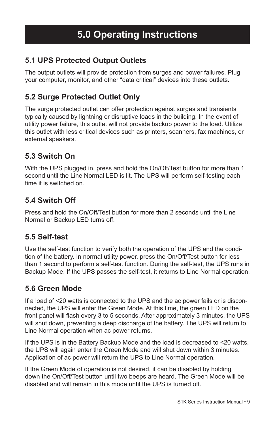## **5.1 UPS Protected Output Outlets**

The output outlets will provide protection from surges and power failures. Plug your computer, monitor, and other "data critical" devices into these outlets.

## **5.2 Surge Protected Outlet Only**

The surge protected outlet can offer protection against surges and transients typically caused by lightning or disruptive loads in the building. In the event of utility power failure, this outlet will not provide backup power to the load. Utilize this outlet with less critical devices such as printers, scanners, fax machines, or external speakers.

## **5.3 Switch On**

With the UPS plugged in, press and hold the On/Off/Test button for more than 1 second until the Line Normal LED is lit. The UPS will perform self-testing each time it is switched on.

## **5.4 Switch Off**

Press and hold the On/Off/Test button for more than 2 seconds until the Line Normal or Backup LED turns off.

## **5.5 Self-test**

Use the self-test function to verify both the operation of the UPS and the condition of the battery. In normal utility power, press the On/Off/Test button for less than 1 second to perform a self-test function. During the self-test, the UPS runs in Backup Mode. If the UPS passes the self-test, it returns to Line Normal operation.

#### **5.6 Green Mode**

If a load of <20 watts is connected to the UPS and the ac power fails or is disconnected, the UPS will enter the Green Mode. At this time, the green LED on the front panel will flash every 3 to 5 seconds. After approximately 3 minutes, the UPS will shut down, preventing a deep discharge of the battery. The UPS will return to Line Normal operation when ac power returns.

If the UPS is in the Battery Backup Mode and the load is decreased to <20 watts, the UPS will again enter the Green Mode and will shut down within 3 minutes. Application of ac power will return the UPS to Line Normal operation.

If the Green Mode of operation is not desired, it can be disabled by holding down the On/Off/Test button until two beeps are heard. The Green Mode will be disabled and will remain in this mode until the UPS is turned off.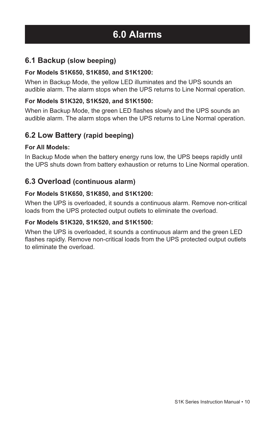# **6.0 Alarms**

#### **6.1 Backup (slow beeping)**

#### **For Models S1K650, S1K850, and S1K1200:**

When in Backup Mode, the yellow LED illuminates and the UPS sounds an audible alarm. The alarm stops when the UPS returns to Line Normal operation.

#### **For Models S1K320, S1K520, and S1K1500:**

When in Backup Mode, the green LED flashes slowly and the UPS sounds an audible alarm. The alarm stops when the UPS returns to Line Normal operation.

#### **6.2 Low Battery (rapid beeping)**

#### **For All Models:**

In Backup Mode when the battery energy runs low, the UPS beeps rapidly until the UPS shuts down from battery exhaustion or returns to Line Normal operation.

#### **6.3 Overload (continuous alarm)**

#### **For Models S1K650, S1K850, and S1K1200:**

When the UPS is overloaded, it sounds a continuous alarm. Remove non-critical loads from the UPS protected output outlets to eliminate the overload.

#### **For Models S1K320, S1K520, and S1K1500:**

When the UPS is overloaded, it sounds a continuous alarm and the green LED flashes rapidly. Remove non-critical loads from the UPS protected output outlets to eliminate the overload.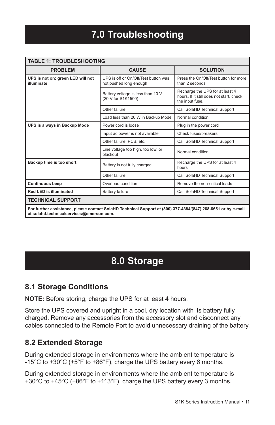| <b>TABLE 1: TROUBLESHOOTING</b>                                                                                                                           |                                                                |                                                                                                |  |  |  |
|-----------------------------------------------------------------------------------------------------------------------------------------------------------|----------------------------------------------------------------|------------------------------------------------------------------------------------------------|--|--|--|
| <b>PROBLEM</b>                                                                                                                                            | <b>CAUSE</b>                                                   | <b>SOLUTION</b>                                                                                |  |  |  |
| UPS is not on; green LED will not<br>illuminate                                                                                                           | UPS is off or On/Off/Test button was<br>not pushed long enough | Press the On/Off/Test button for more<br>than 2 seconds                                        |  |  |  |
|                                                                                                                                                           | Battery voltage is less than 10 V<br>(20 V for S1K1500)        | Recharge the UPS for at least 4<br>hours. If it still does not start, check<br>the input fuse. |  |  |  |
|                                                                                                                                                           | Other failure                                                  | Call SolaHD Technical Support                                                                  |  |  |  |
|                                                                                                                                                           | Load less than 20 W in Backup Mode                             | Normal condition                                                                               |  |  |  |
| UPS is always in Backup Mode                                                                                                                              | Power cord is loose                                            | Plug in the power cord                                                                         |  |  |  |
|                                                                                                                                                           | Input ac power is not available                                | Check fuses/breakers                                                                           |  |  |  |
|                                                                                                                                                           | Other failure, PCB, etc.                                       | Call SolaHD Technical Support                                                                  |  |  |  |
|                                                                                                                                                           | Line voltage too high, too low, or<br>blackout                 | Normal condition                                                                               |  |  |  |
| Backup time is too short                                                                                                                                  | Battery is not fully charged                                   | Recharge the UPS for at least 4<br>hours                                                       |  |  |  |
|                                                                                                                                                           | Other failure                                                  | Call SolaHD Technical Support                                                                  |  |  |  |
| <b>Continuous beep</b>                                                                                                                                    | Overload condition                                             | Remove the non-critical loads                                                                  |  |  |  |
| Red LED is illuminated                                                                                                                                    | Battery failure                                                | Call SolaHD Technical Support                                                                  |  |  |  |
| <b>TECHNICAL SUPPORT</b>                                                                                                                                  |                                                                |                                                                                                |  |  |  |
| For further assistance, please contact SolaHD Technical Support at (800) 377-4384/(847) 268-6651 or by e-mail<br>at solahd.technicalservices@emerson.com. |                                                                |                                                                                                |  |  |  |

# **8.0 Storage**

#### **8.1 Storage Conditions**

**NOTE:** Before storing, charge the UPS for at least 4 hours.

Store the UPS covered and upright in a cool, dry location with its battery fully charged. Remove any accessories from the accessory slot and disconnect any cables connected to the Remote Port to avoid unnecessary draining of the battery.

## **8.2 Extended Storage**

During extended storage in environments where the ambient temperature is -15°C to +30°C (+5°F to +86°F), charge the UPS battery every 6 months.

During extended storage in environments where the ambient temperature is +30°C to +45°C (+86°F to +113°F), charge the UPS battery every 3 months.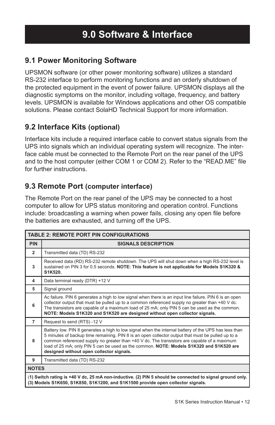## **9.1 Power Monitoring Software**

UPSMON software (or other power monitoring software) utilizes a standard RS-232 interface to perform monitoring functions and an orderly shutdown of the protected equipment in the event of power failure. UPSMON displays all the diagnostic symptoms on the monitor, including voltage, frequency, and battery levels. UPSMON is available for Windows applications and other OS compatible solutions. Please contact SolaHD Technical Support for more information.

#### **9.2 Interface Kits (optional)**

Interface kits include a required interface cable to convert status signals from the UPS into signals which an individual operating system will recognize. The interface cable must be connected to the Remote Port on the rear panel of the UPS and to the host computer (either COM 1 or COM 2). Refer to the "READ.ME" file for further instructions.

#### **9.3 Remote Port (computer interface)**

The Remote Port on the rear panel of the UPS may be connected to a host computer to allow for UPS status monitoring and operation control. Functions include: broadcasting a warning when power fails, closing any open file before the batteries are exhausted, and turning off the UPS.

| <b>TABLE 2: REMOTE PORT PIN CONFIGURATIONS</b>                                                                                                                                              |                                                                                                                                                                                                                                                                                                                                                                                                                                                 |  |  |  |
|---------------------------------------------------------------------------------------------------------------------------------------------------------------------------------------------|-------------------------------------------------------------------------------------------------------------------------------------------------------------------------------------------------------------------------------------------------------------------------------------------------------------------------------------------------------------------------------------------------------------------------------------------------|--|--|--|
| <b>PIN</b>                                                                                                                                                                                  | <b>SIGNALS DESCRIPTION</b>                                                                                                                                                                                                                                                                                                                                                                                                                      |  |  |  |
| $\overline{2}$                                                                                                                                                                              | Transmitted data (TD) RS-232                                                                                                                                                                                                                                                                                                                                                                                                                    |  |  |  |
| 3                                                                                                                                                                                           | Received data (RD) RS-232 remote shutdown. The UPS will shut down when a high RS-232 level is<br>sustained on PIN 3 for 0.5 seconds. NOTE: This feature is not applicable for Models S1K320 &<br>S1K520.                                                                                                                                                                                                                                        |  |  |  |
| 4                                                                                                                                                                                           | Data terminal ready (DTR) +12 V                                                                                                                                                                                                                                                                                                                                                                                                                 |  |  |  |
| 5                                                                                                                                                                                           | Signal ground                                                                                                                                                                                                                                                                                                                                                                                                                                   |  |  |  |
| 6                                                                                                                                                                                           | Ac failure. PIN 6 generates a high to low signal when there is an input line failure. PIN 6 is an open<br>collector output that must be pulled up to a common referenced supply no greater than +40 V dc.<br>The transistors are capable of a maximum load of 25 mA; only PIN 5 can be used as the common.<br>NOTE: Models S1K320 and S1K520 are designed without open collector signals.                                                       |  |  |  |
| $\overline{7}$                                                                                                                                                                              | Request to send (RTS) -12 V                                                                                                                                                                                                                                                                                                                                                                                                                     |  |  |  |
| 8                                                                                                                                                                                           | Battery low. PIN 8 generates a high to low signal when the internal battery of the UPS has less than<br>5 minutes of backup time remaining. PIN 8 is an open collector output that must be pulled up to a<br>common referenced supply no greater than +40 V dc. The transistors are capable of a maximum<br>load of 25 mA; only PIN 5 can be used as the common. NOTE: Models S1K320 and S1K520 are<br>designed without open collector signals. |  |  |  |
| 9                                                                                                                                                                                           | Transmitted data (TD) RS-232                                                                                                                                                                                                                                                                                                                                                                                                                    |  |  |  |
| <b>NOTES</b>                                                                                                                                                                                |                                                                                                                                                                                                                                                                                                                                                                                                                                                 |  |  |  |
| (1) Switch rating is +40 V dc, 25 mA non-inductive. (2) PIN 5 should be connected to signal ground only.<br>(3) Models S1K650, S1K850, S1K1200, and S1K1500 provide open collector signals. |                                                                                                                                                                                                                                                                                                                                                                                                                                                 |  |  |  |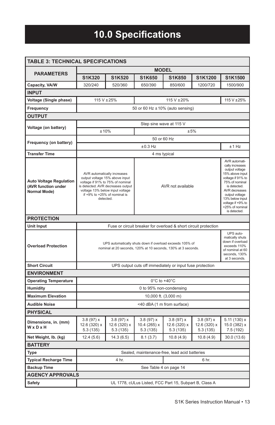# **10.0 Specifications**

| <b>TABLE 3: TECHNICAL SPECIFICATIONS</b>                              |                                                                                                                                                                                                                        |                                       |                                       |                                                                 |                                                                                                                                                                                                                                            |                                           |  |
|-----------------------------------------------------------------------|------------------------------------------------------------------------------------------------------------------------------------------------------------------------------------------------------------------------|---------------------------------------|---------------------------------------|-----------------------------------------------------------------|--------------------------------------------------------------------------------------------------------------------------------------------------------------------------------------------------------------------------------------------|-------------------------------------------|--|
|                                                                       | <b>MODEL</b>                                                                                                                                                                                                           |                                       |                                       |                                                                 |                                                                                                                                                                                                                                            |                                           |  |
| <b>PARAMETERS</b>                                                     | S1K320                                                                                                                                                                                                                 | S1K520                                | S1K650                                | S1K850                                                          | S1K1200                                                                                                                                                                                                                                    | S1K1500                                   |  |
| Capacity, VA/W                                                        | 320/240                                                                                                                                                                                                                | 520/360                               | 650/390                               | 850/600                                                         | 1200/720                                                                                                                                                                                                                                   | 1500/900                                  |  |
| <b>INPUT</b>                                                          |                                                                                                                                                                                                                        |                                       |                                       |                                                                 |                                                                                                                                                                                                                                            |                                           |  |
| Voltage (Single phase)                                                | 115 V ± 25%                                                                                                                                                                                                            |                                       |                                       | 115 V ± 20%                                                     |                                                                                                                                                                                                                                            | 115 V ± 25%                               |  |
| Frequency                                                             |                                                                                                                                                                                                                        |                                       |                                       | 50 or 60 Hz $\pm$ 10% (auto sensing)                            |                                                                                                                                                                                                                                            |                                           |  |
| <b>OUTPUT</b>                                                         |                                                                                                                                                                                                                        |                                       |                                       |                                                                 |                                                                                                                                                                                                                                            |                                           |  |
| Voltage (on battery)                                                  | Step sine wave at 115 V                                                                                                                                                                                                |                                       |                                       |                                                                 |                                                                                                                                                                                                                                            |                                           |  |
|                                                                       | ±10%<br>±5%                                                                                                                                                                                                            |                                       |                                       |                                                                 |                                                                                                                                                                                                                                            |                                           |  |
| Frequency (on battery)                                                | 50 or 60 Hz                                                                                                                                                                                                            |                                       |                                       |                                                                 |                                                                                                                                                                                                                                            |                                           |  |
|                                                                       | ±0.3 Hz<br>$±1$ Hz                                                                                                                                                                                                     |                                       |                                       |                                                                 |                                                                                                                                                                                                                                            |                                           |  |
| <b>Transfer Time</b>                                                  |                                                                                                                                                                                                                        |                                       |                                       | 4 ms typical                                                    |                                                                                                                                                                                                                                            |                                           |  |
| <b>Auto Voltage Regulation</b><br>(AVR function under<br>Normal Mode) | AVR automatically increases<br>output voltage 15% above input<br>voltage if 91% to 75% of nominal<br>is detected. AVR decreases output<br>voltage 13% below input voltage<br>if +9% to +25% of nominal is<br>detected. |                                       | AVR not available                     |                                                                 | AVR automati-<br>cally increases<br>output voltage<br>15% above input<br>voltage if 91% to<br>75% of nominal<br>is detected.<br>AVR decreases<br>output voltage<br>13% below input<br>voltage if +9% to<br>+25% of nominal<br>is detected. |                                           |  |
| <b>PROTECTION</b>                                                     |                                                                                                                                                                                                                        |                                       |                                       |                                                                 |                                                                                                                                                                                                                                            |                                           |  |
| <b>Unit Input</b>                                                     |                                                                                                                                                                                                                        |                                       |                                       | Fuse or circuit breaker for overload & short circuit protection |                                                                                                                                                                                                                                            |                                           |  |
| <b>Overload Protection</b>                                            | UPS automatically shuts down if overload exceeds 105% of<br>nominal at 20 seconds, 120% at 10 seconds, 130% at 3 seconds.                                                                                              |                                       |                                       |                                                                 | UPS auto-<br>matically shuts<br>down if overload<br>exceeds 110%<br>of nominal at 60<br>seconds, 130%<br>at 3 seconds.                                                                                                                     |                                           |  |
| <b>Short Circuit</b>                                                  |                                                                                                                                                                                                                        |                                       |                                       | UPS output cuts off immediately or input fuse protection        |                                                                                                                                                                                                                                            |                                           |  |
| <b>ENVIRONMENT</b>                                                    |                                                                                                                                                                                                                        |                                       |                                       |                                                                 |                                                                                                                                                                                                                                            |                                           |  |
| <b>Operating Temperature</b>                                          |                                                                                                                                                                                                                        |                                       |                                       | $0^{\circ}$ C to +40 $^{\circ}$ C                               |                                                                                                                                                                                                                                            |                                           |  |
| <b>Humidity</b>                                                       |                                                                                                                                                                                                                        |                                       |                                       | 0 to 95% non-condensing                                         |                                                                                                                                                                                                                                            |                                           |  |
| <b>Maximum Elevation</b>                                              | 10,000 ft. (3,000 m)                                                                                                                                                                                                   |                                       |                                       |                                                                 |                                                                                                                                                                                                                                            |                                           |  |
| <b>Audible Noise</b>                                                  | <40 dBA (1 m from surface)                                                                                                                                                                                             |                                       |                                       |                                                                 |                                                                                                                                                                                                                                            |                                           |  |
| <b>PHYSICAL</b>                                                       |                                                                                                                                                                                                                        |                                       |                                       |                                                                 |                                                                                                                                                                                                                                            |                                           |  |
| Dimensions, in. (mm)<br>WxDxH                                         | 3.8(97)x<br>12.6 (320) x<br>5.3 (135)                                                                                                                                                                                  | 3.8(97)x<br>12.6 (320) x<br>5.3 (135) | 3.8(97)x<br>10.4 (265) x<br>5.3 (135) | 3.8(97)x<br>12.6 (320) x<br>5.3(135)                            | 3.8(97)x<br>12.6 (320) x<br>5.3(135)                                                                                                                                                                                                       | 5.11 (130) x<br>15.0 (382) x<br>7.5 (192) |  |
| Net Weight, Ib. (kg)                                                  | 12.4 (5.6)                                                                                                                                                                                                             | 14.3 (6.5)                            | 8.1(3.7)                              | 10.8 (4.9)                                                      | 10.8(4.9)                                                                                                                                                                                                                                  | 30.0(13.6)                                |  |
| <b>BATTERY</b>                                                        |                                                                                                                                                                                                                        |                                       |                                       |                                                                 |                                                                                                                                                                                                                                            |                                           |  |
| Type                                                                  |                                                                                                                                                                                                                        |                                       |                                       | Sealed, maintenance-free, lead acid batteries                   |                                                                                                                                                                                                                                            |                                           |  |
| <b>Typical Recharge Time</b>                                          | 4 hr.<br>6 hr.                                                                                                                                                                                                         |                                       |                                       |                                                                 |                                                                                                                                                                                                                                            |                                           |  |
| <b>Backup Time</b>                                                    | See Table 4 on page 14                                                                                                                                                                                                 |                                       |                                       |                                                                 |                                                                                                                                                                                                                                            |                                           |  |
| <b>AGENCY APPROVALS</b>                                               |                                                                                                                                                                                                                        |                                       |                                       |                                                                 |                                                                                                                                                                                                                                            |                                           |  |
| Safety                                                                |                                                                                                                                                                                                                        |                                       |                                       | UL 1778, cULus Listed, FCC Part 15, Subpart B, Class A          |                                                                                                                                                                                                                                            |                                           |  |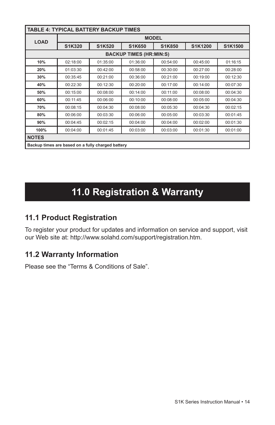| <b>TABLE 4: TYPICAL BATTERY BACKUP TIMES</b>      |              |               |          |               |          |          |
|---------------------------------------------------|--------------|---------------|----------|---------------|----------|----------|
| <b>LOAD</b>                                       | <b>MODEL</b> |               |          |               |          |          |
|                                                   | S1K320       | <b>S1K520</b> | S1K650   | <b>S1K850</b> | S1K1200  | S1K1500  |
| <b>BACKUP TIMES (HR:MIN:S)</b>                    |              |               |          |               |          |          |
| 10%                                               | 02:18:00     | 01:35:00      | 01:36:00 | 00:54:00      | 00:45:00 | 01:16:15 |
| 20%                                               | 01:03:30     | 00:42:00      | 00:58:00 | 00:30:00      | 00:27:00 | 00:28:00 |
| 30%                                               | 00:35:45     | 00:21:00      | 00:36:00 | 00:21:00      | 00:19:00 | 00:12:30 |
| 40%                                               | 00:22:30     | 00:12:30      | 00:20:00 | 00:17:00      | 00:14:00 | 00:07:30 |
| 50%                                               | 00:15:00     | 00:08:00      | 00:14:00 | 00:11:00      | 00:08:00 | 00:04:30 |
| 60%                                               | 00:11:45     | 00:06:00      | 00:10:00 | 00:08:00      | 00:05:00 | 00:04:30 |
| 70%                                               | 00:08:15     | 00:04:30      | 00:08:00 | 00:05:30      | 00:04:30 | 00:02:15 |
| 80%                                               | 00:06:00     | 00:03:30      | 00:06:00 | 00:05:00      | 00:03:30 | 00:01:45 |
| 90%                                               | 00:04:45     | 00:02:15      | 00:04:00 | 00:04:00      | 00:02:00 | 00:01:30 |
| 100%                                              | 00:04:00     | 00:01:45      | 00:03:00 | 00:03:00      | 00:01:30 | 00:01:00 |
| <b>NOTES</b>                                      |              |               |          |               |          |          |
| Backup times are based on a fully charged battery |              |               |          |               |          |          |

# **11.0 Registration & Warranty**

## **11.1 Product Registration**

To register your product for updates and information on service and support, visit our Web site at: http://www.solahd.com/support/registration.htm.

#### **11.2 Warranty Information**

Please see the "Terms & Conditions of Sale".